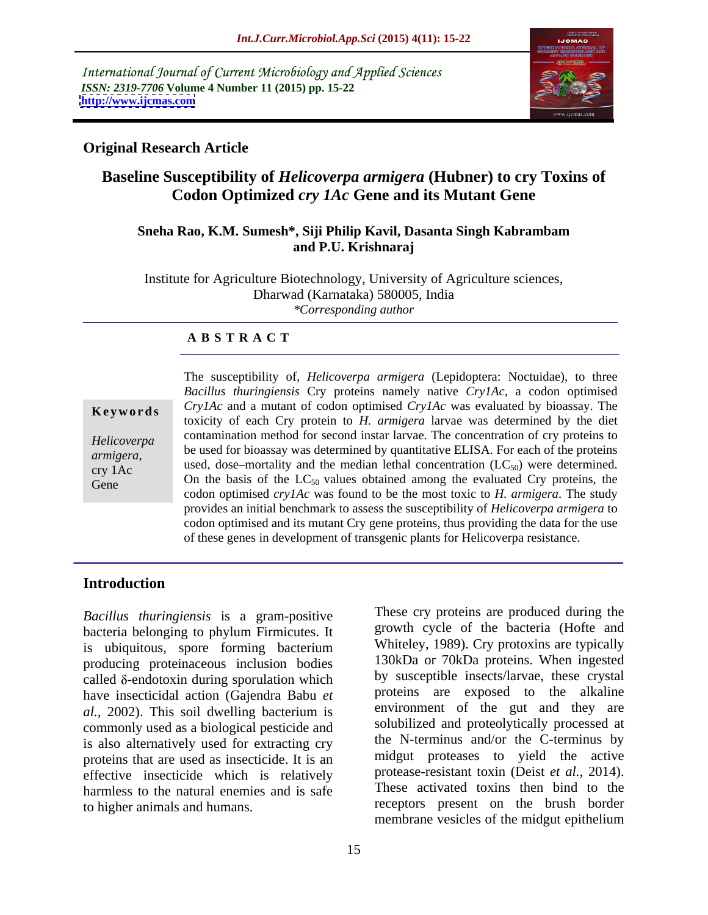International Journal of Current Microbiology and Applied Sciences *ISSN: 2319-7706* **Volume 4 Number 11 (2015) pp. 15-22 <http://www.ijcmas.com>**



### **Original Research Article**

# **Baseline Susceptibility of** *Helicoverpa armigera* **(Hubner) to cry Toxins of Codon Optimized** *cry 1Ac* **Gene and its Mutant Gene**

### **Sneha Rao, K.M. Sumesh\*, Siji Philip Kavil, Dasanta Singh Kabrambam and P.U. Krishnaraj**

Institute for Agriculture Biotechnology, University of Agriculture sciences, Dharwad (Karnataka) 580005, India *\*Corresponding author*

### **A B S T R A C T**

Gene

The susceptibility of, *Helicoverpa armigera* (Lepidoptera: Noctuidae), to three *Bacillus thuringiensis* Cry proteins namely native*Cry1Ac,* a codon optimised **Keywords** CrylAc and a mutant of codon optimised CrylAc was evaluated by bioassay. The toxicity of each Cry protein to *H. armigera* larvae was determined by the diet contamination method for second instar larvae. The concentration of cry proteins to *Helicoverpa*  be used for bioassay was determined by quantitative ELISA. For each of the proteins *armigera,*  $\mu$  used, dose–mortality and the median lethal concentration (LC<sub>50</sub>) were determined. On the basis of the  $LC_{50}$  values obtained among the evaluated Cry proteins, the codon optimised *cry1Ac* was found to be the most toxic to *H. armigera*. The study provides an initial benchmark to assess the susceptibility of *Helicoverpa armigera* to codon optimised and its mutant Cry gene proteins, thus providing the data for the use of these genes in development of transgenic plants for Helicoverpa resistance.

### **Introduction**

*Bacillus thuringiensis* is a gram-positive bacteria belonging to phylum Firmicutes. It is ubiquitous, spore forming bacterium producing proteinaceous inclusion bodies called  $\delta$ -endotoxin during sporulation which have insecticidal action (Gajendra Babu *et al.,* 2002). This soil dwelling bacterium is commonly used as a biological pesticide and is also alternatively used for extracting cry proteins that are used as insecticide. It is an effective insecticide which is relatively harmless to the natural enemies and is safe

to higher animals and humans. receptors present on the brush border These cry proteins are produced during the growth cycle of the bacteria (Hofte and Whiteley, 1989). Cry protoxins are typically 130kDa or 70kDa proteins. When ingested by susceptible insects/larvae, these crystal proteins are exposed to the alkaline environment of the gut and they are solubilized and proteolytically processed at the N-terminus and/or the C-terminus by midgut proteases to yield the active protease-resistant toxin (Deist *et al.,* 2014). These activated toxins then bind to the membrane vesicles of the midgut epithelium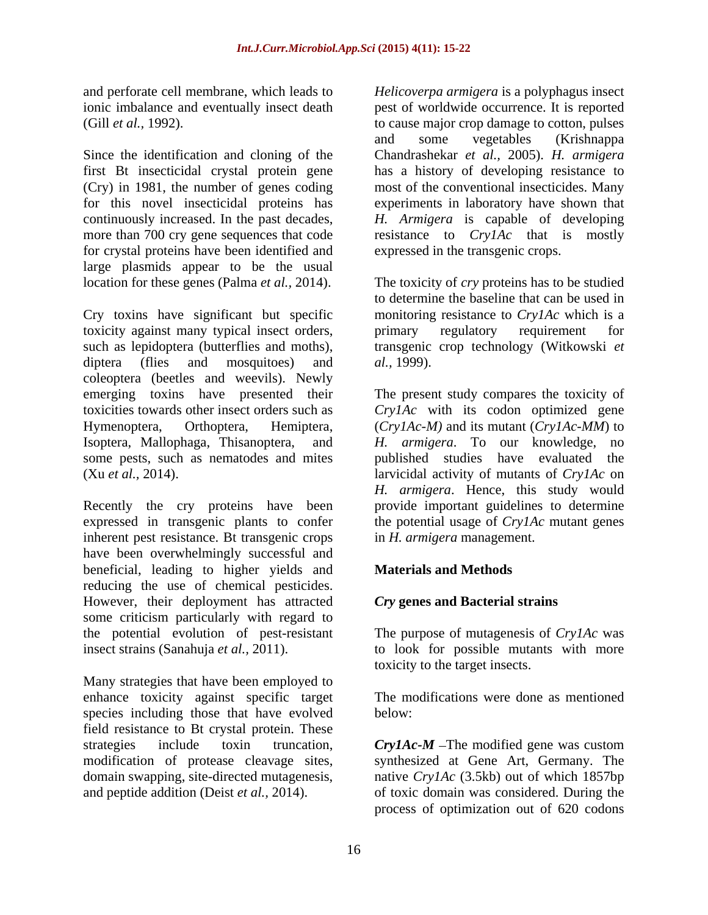and perforate cell membrane, which leads to Helicoverpa armigera is a polyphagus insect

Since the identification and cloning of the Chandrashekar *et al.,* 2005). *H. armigera* first Bt insecticidal crystal protein gene<br>(Cry) in 1981, the number of genes coding (Cry) in 1981, the number of genes coding most of the conventional insecticides. Many for this novel insecticidal proteins has experiments in laboratory have shown that continuously increased. In the past decades, *H. Armigera* is capable of developing more than 700 cry gene sequences that code resistance to *CrylAc* that is mostly for crystal proteins have been identified and large plasmids appear to be the usual

Cry toxins have significant but specific toxicity against many typical insect orders, such as lepidoptera (butterflies and moths), transgenic crop technology (Witkowski *et*  diptera (flies and mosquitoes) and al., 1999). coleoptera (beetles and weevils). Newly emerging toxins have presented their The present study compares the toxicity of toxicities towards other insect orders such as *Cry1Ac* with its codon optimized gene Hymenoptera, Orthoptera, Hemiptera, (*Cry1Ac-M)* and its mutant (*Cry1Ac-MM*) to Isoptera, Mallophaga, Thisanoptera, and *H. armigera*. To our knowledge, no some pests, such as nematodes and mites published studies have evaluated the (Xu *et al.,* 2014). larvicidal activity of mutants of *Cry1Ac* on and performs cell membrane, which leads to  $H$ . *Helicoverpa armiger* is a polyphagus insect<br>
(Gill er al., 1992). Helicover allows the counterparameter of the same interest of contemparameter of the same information and

Recently the cry proteins have been expressed in transgenic plants to confer inherent pest resistance. Bt transgenic crops have been overwhelmingly successful and beneficial, leading to higher yields and reducing the use of chemical pesticides. However, their deployment has attracted some criticism particularly with regard to the potential evolution of pest-resistant The purpose of mutagenesis of *Cry1Ac* was insect strains (Sanahuja *et al.,* 2011). to look for possible mutants with more

Many strategies that have been employed to enhance toxicity against specific target species including those that have evolved below: field resistance to Bt crystal protein. These

ionic imbalance and eventually insect death pest of worldwide occurrence. It is reported (Gill *et al.,* 1992). to cause major crop damage to cotton, pulses and some vegetables (Krishnappa has a history of developing resistance to expressed in the transgenic crops.

location for these genes (Palma *et al.,* 2014). The toxicity of *cry* proteins has to be studied to determine the baseline that can be used in monitoring resistance to *Cry1Ac* which is a primary regulatory requirement for *al.,* 1999).

> *H. armigera*. Hence, this study would provide important guidelines to determine the potential usage of *Cry1Ac* mutant genes in *H. armigera* management.

## **Materials and Methods**

### *Cry* **genes and Bacterial strains**

toxicity to the target insects.

The modifications were done as mentioned below:

strategies include toxin truncation, *Cry1Ac-M* – The modified gene was custom modification of protease cleavage sites, synthesized at Gene Art, Germany. The domain swapping, site-directed mutagenesis, native *Cry1Ac* (3.5kb) out of which 1857bp of toxic domain was considered. During the process of optimization out of 620 codons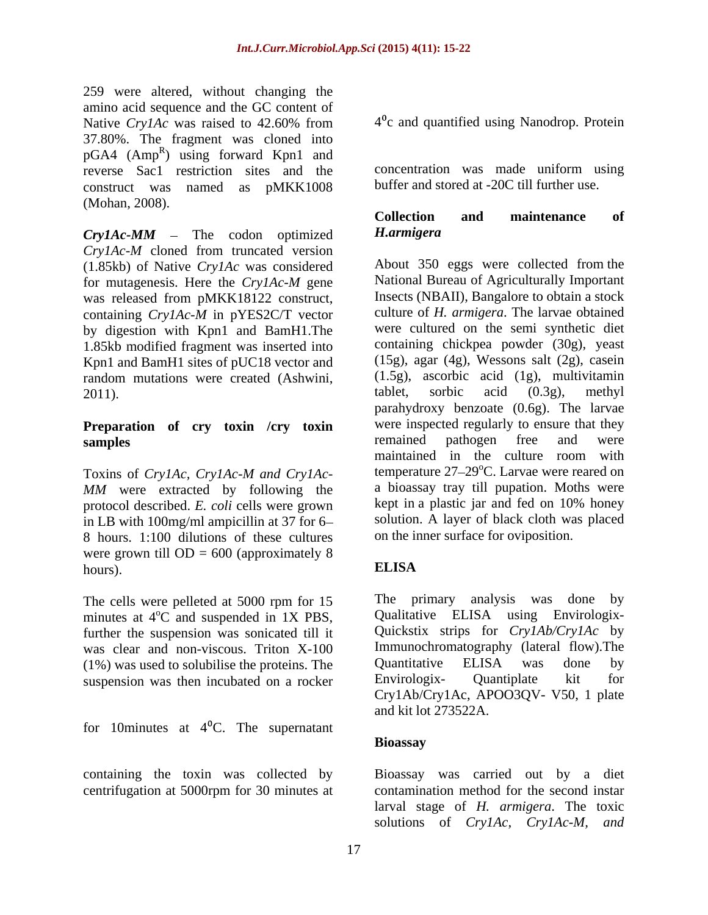259 were altered, without changing the amino acid sequence and the GC content of Native *Cry1Ac* was raised to 42.60% from 4<sup>o</sup>c and quantified using Nanodrop. Protein 37.80%. The fragment was cloned into  $pGA4$  (Amp<sup>R</sup>) using forward Kpn1 and reverse Sac1 restriction sites and the construct was named as pMKK1008 (Mohan, 2008).<br> **Collection** and maintenance of

*Cry1Ac-MM* – The codon optimized *H.armigera Cry1Ac-M* cloned from truncated version (1.85kb) of Native *Cry1Ac* was considered for mutagenesis. Here the *Cry1Ac-M* gene was released from pMKK18122 construct, containing *Cry1Ac-M* in pYES2C/T vector by digestion with Kpn1 and BamH1.The 1.85kb modified fragment was inserted into Kpn1 and BamH1 sites of pUC18 vector and random mutations were created (Ashwini,  $(1.5g)$ , ascorbic acid (1g), multivitamin tablet, sorbic acid (0.3g), methyl

# **Preparation of cry toxin** /**cry toxin** were inspected regularly to ensure that they remained pathogen free and were

Toxins of *Cry1Ac, Cry1Ac-M and Cry1Ac- MM* were extracted by following the protocol described. *E. coli* cells were grown in LB with 100mg/ml ampicillin at 37 for 6 8 hours. 1:100 dilutions of these cultures were grown till  $OD = 600$  (approximately 8<br>
ELISA hours). **ELISA** 

The cells were pelleted at 5000 rpm for 15 The primary analysis was done by minutes at  $4^{\circ}$ C and suspended in 1X PBS. Qualitative ELISA using Envirologixminutes at  $4^{\circ}$ C and suspended in 1X PBS, further the suspension was sonicated till it was clear and non-viscous. Triton X-100 Immunochromatography (lateral flow). The <br>(1%) was used to solubilise the proteins The Quantitative ELISA was done by (1%) was used to solubilise the proteins. The Cuantitative ELISA was done by<br>suspension was then incubated on a rocker Envirologix- Quantiplate kit for suspension was then incubated on a rocker

for 10 minutes at  $4^{\circ}$ C. The supernatant

 $4<sup>0</sup>c$  and quantified using Nanodrop. Protein

concentration was made uniform using buffer and stored at -20C till further use.

# **Collection and maintenance of** *H.armigera*

2011). tablet, sorbic acid (0.3g), methyl **samples samples samples samples samples samples samples samples samples samples s** About 350 eggs were collected from the National Bureau of Agriculturally Important Insects (NBAII), Bangalore to obtain a stock culture of *H. armigera*. The larvae obtained were cultured on the semi synthetic diet containing chickpea powder (30g), yeast (15g), agar (4g), Wessons salt (2g), casein (1.5g), ascorbic acid (1g), multivitamin tablet, sorbic acid (0.3g), methyl parahydroxy benzoate (0.6g). The larvae were inspected regularly to ensure that they remained pathogen free and were maintained in the culture room with temperature  $27-29$ <sup>o</sup>C. Larvae were reared on a bioassay tray till pupation. Moths were kept in a plastic jar and fed on 10% honey solution. A layer of black cloth was placed on the inner surface for oviposition.

# **ELISA**

<sup>o</sup>C and suspended in 1X PBS, Qualitative ELISA using Envirologix-The primary analysis was done by Qualitative ELISA using Envirologix- Quickstix strips for *Cry1Ab/Cry1Ac* by Immunochromatography (lateral flow).The Quantitative ELISA was done by Envirologix- Quantiplate kit for Cry1Ab/Cry1Ac, APOO3QV- V50, 1 plate and kit lot 273522A.

## **Bioassay**

containing the toxin was collected by Bioassay was carried out by a diet centrifugation at 5000rpm for 30 minutes at contamination method for the second instar larval stage of *H. armigera*. The toxic solutions of *Cry1Ac, Cry1Ac-M, and*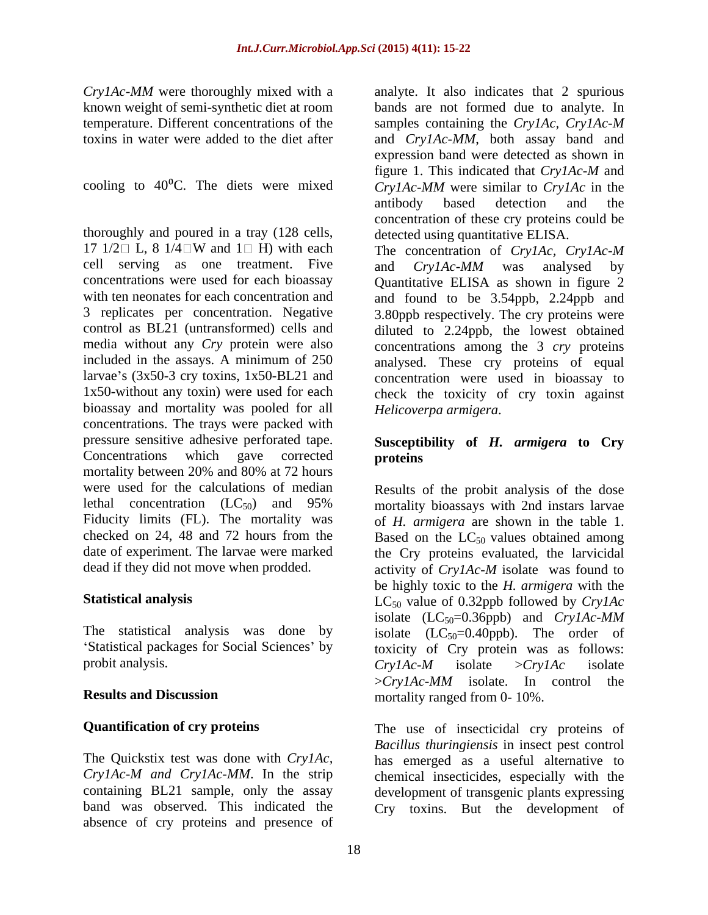thoroughly and poured in a tray (128 cells, 17  $1/2 \square$  L, 8  $1/4 \square W$  and  $1 \square$  H) with each The concentration of *CrylAc, CrylAc-M* cell serving as one treatment. Five and  $C_{r}$   $N_{A}$  was analysed by control as BL21 (untransformed) cells and bioassay and mortality was pooled for all concentrations. The trays were packed with pressure sensitive adhesive perforated tape. Concentrations which gave corrected **proteins** mortality between 20% and 80% at 72 hours were used for the calculations of median Results of the probit analysis of the dose lethal concentration  $(LC_{50})$  and 95% mortality bioassays with 2nd instars larvae Fiducity limits (FL). The mortality was of *H. armigera* are shown in the table 1. checked on 24, 48 and 72 hours from the Based on the  $LC_{50}$  values obtained among date of experiment. The larvae were marked the Cry proteins evaluated, the larvicidal

'Statistical packages for Social Sciences' by probit analysis.  $C_{\text{rV}}/A_{\text{c}}-M$  isolate  $\geq C_{\text{rV}}/A_{\text{c}}$  isolate

*Cry1Ac-M and Cry1Ac-MM*. In the strip band was observed. This indicated the Cry toxins. But the development ofabsence of cry proteins and presence of

*Cry1Ac-MM* were thoroughly mixed with a analyte. It also indicates that 2 spurious known weight of semi-synthetic diet at room bands are not formed due to analyte. In temperature. Different concentrations of the samples containing the *Cry1Ac, Cry1Ac-M*  toxins in water were added to the diet after and *Cry1Ac-MM*, both assay band and cooling to 40<sup>o</sup>C. The diets were mixed  $CryAc-MM$  were similar to  $CryAc$  in the expression band were detected as shown in figure 1. This indicated that *Cry1Ac-M* and antibody based detection and the concentration of these cry proteins could be detected using quantitative ELISA.

concentrations were used for each bioassay Quantitative ELISA as shown in figure 2 with ten neonates for each concentration and and found to be 3.54ppb, 2.24ppb and 3 replicates per concentration. Negative 3.80ppb respectively. The cry proteins were media without any *Cry* protein were also concentrations among the 3 *cry* proteins included in the assays. A minimum of 250 analysed. These cry proteins of equal larvae's  $(3x50-3$  cry toxins,  $1x50-BL21$  and concentration were used in bioassay to 1x50-without any toxin) were used for each check the toxicity of cry toxin against and *Cry1Ac-MM* was analysed by diluted to 2.24ppb, the lowest obtained *Helicoverpa armigera*.

# **Susceptibility of** *H. armigera* **to Cry proteins**

dead if they did not move when prodded. activity of *Cry1Ac-M* isolate was found to **Statistical analysis** LC<sub>50</sub> value of 0.32ppb followed by *CrylAc* The statistical analysis was done by isolate  $(LC_{50}=0.40 \text{ppb})$ . The order of **Results and Discussion** mortality ranged from 0- 10%. be highly toxic to the *H. armigera* with the isolate (LC50=0.36ppb) and *Cry1Ac-MM* toxicity of Cry protein was as follows: *Cry1Ac-M* isolate >*Cry1Ac* isolate >*Cry1Ac-MM* isolate. In control the

**Quantification of cry proteins** The use of insecticidal cry proteins of The Quickstix test was done with *Cry1Ac,*  has emerged as a useful alternative to containing BL21 sample, only the assay development of transgenic plants expressing *Bacillus thuringiensis* in insect pest control chemical insecticides, especially with the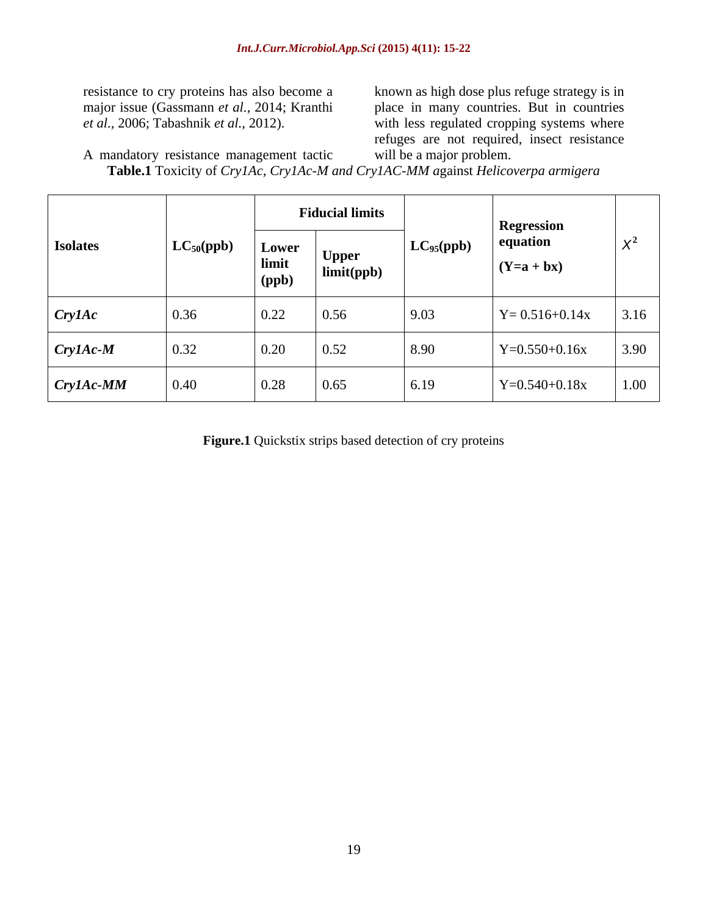resistance to cry proteins has also become a known as high dose plus refuge strategy is in major issue (Gassmann *et al.,* 2014; Kranthi place in many countries. But in countries *et al.,* 2006; Tabashnik *et al.,* 2012). with less regulated cropping systems where refuges are not required, insect resistance will be a major problem.

A mandatory resistance management tactic **Table.1** Toxicity of *Cry1Ac*, *Cry1Ac-M and Cry1AC-MM a*gainst *Helicoverpa armigera*

|                     | $LC_{50}(ppb)$     | <b>Fiducial limits</b> |                     |                | <b>Regression</b>           |       |
|---------------------|--------------------|------------------------|---------------------|----------------|-----------------------------|-------|
| <b>Isolates</b>     |                    | Lower<br>limit         | Upper<br>limit(ppb) | $LC_{95}(ppb)$ | equation<br>$\int (Y=a+bx)$ | $X^2$ |
|                     |                    | (ppb)                  |                     |                |                             |       |
| $\int$ Cry 1 Ac     | $\boxed{0.36}$     | 0.22                   | $\vert 0.56 \vert$  | 9.03           | $Y = 0.516 + 0.14x$         | 3.16  |
| $CryIAc-M$          | 0.32               | 0.20                   | $\vert$ 0.52        | 8.90           | $Y=0.550+0.16x$             | 3.90  |
| $\boxed{Cry1Ac-MM}$ | $\vert 0.40 \vert$ | 0.28                   | 0.65                | $6.19$         | $Y=0.540+0.18x$             | 1.00  |

**Figure.1** Quickstix strips based detection of cry proteins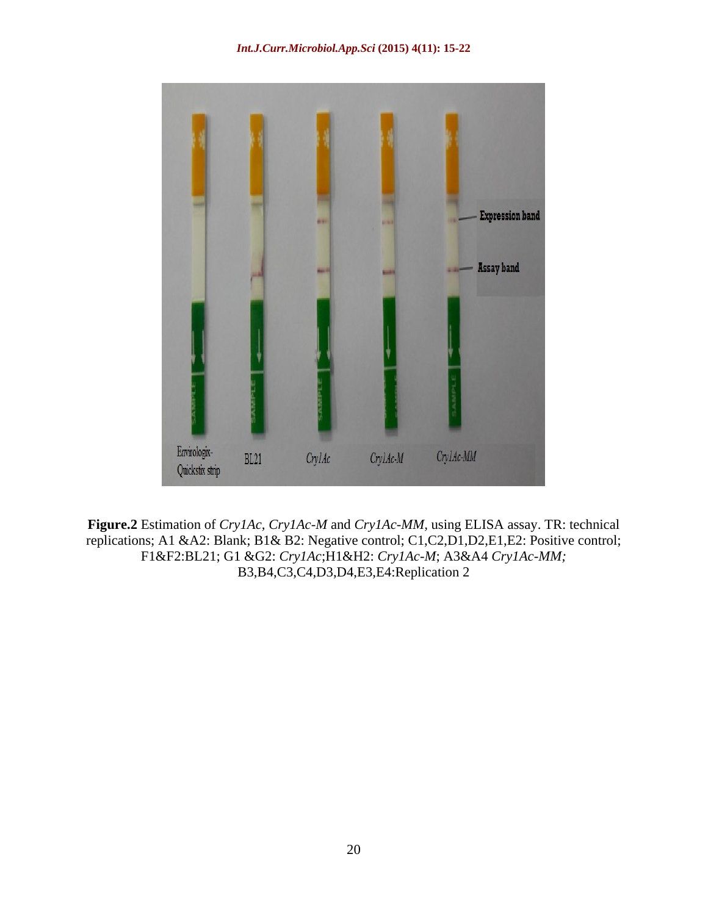

**Figure.2** Estimation of *Cry1Ac, Cry1Ac-M* and *Cry1Ac-MM,* using ELISA assay. TR: technical replications; A1 &A2: Blank; B1& B2: Negative control; C1,C2,D1,D2,E1,E2: Positive control; F1&F2:BL21; G1 &G2: *Cry1Ac*;H1&H2: *Cry1Ac-M*; A3&A4 *Cry1Ac-MM;* B3,B4,C3,C4,D3,D4,E3,E4:Replication 2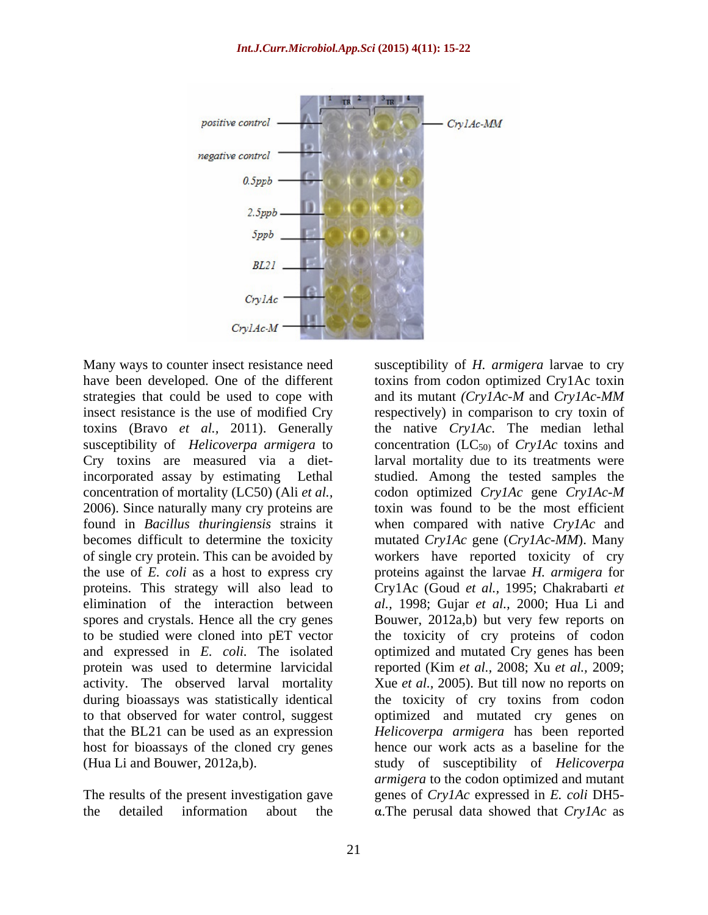

Cry toxins are measured via a dietconcentration of mortality (LC50) (Ali *et al.*, codon optimized CrylAc gene CrylAc-M activity. The observed larval mortality

the detailed information about the  $\alpha$ . The perusal data showed that  $Cry$  *IAc* as

Many ways to counter insect resistance need susceptibility of *H. armigera* larvae to cry have been developed. One of the different toxins from codon optimized Cry1Ac toxin strategies that could be used to cope with and its mutant *(Cry1Ac-M* and *Cry1Ac-MM* insect resistance is the use of modified Cry espectively) in comparison to cry toxin of toxins (Bravo *et al.,* 2011). Generally the native *Cry1Ac*. The median lethal susceptibility of *Helicoverpa armigera* to concentration (LC<sub>50)</sub> of *Cry1Ac* toxins and incorporated assay by estimating Lethal studied. Among the tested samples the 2006). Since naturally many cry proteins are toxin was found to be the most efficient found in *Bacillus thuringiensis* strains it when compared with native *Cry1Ac* and becomes difficult to determine the toxicity mutated *Cry1Ac* gene (*Cry1Ac-MM*). Many of single cry protein. This can be avoided by workers have reported toxicity of cry the use of *E. coli* as a host to express cry proteins against the larvae *H. armigera* for proteins. This strategy will also lead to Cry1Ac (Goud *et al.,* 1995; Chakrabarti *et*  elimination of the interaction between *al.,* 1998; Gujar *et al.,* 2000; Hua Li and spores and crystals. Hence all the cry genes Bouwer, 2012a,b) but very few reports on to be studied were cloned into pET vector the toxicity of cry proteins of codon and expressed in *E. coli.* The isolated optimized and mutated Cry genes has been protein was used to determine larvicidal reported (Kim *et al.,* 2008; Xu *et al.,* 2009; during bioassays was statistically identical the toxicity of cry toxins from codon to that observed for water control, suggest optimized and mutated cry genes on that the BL21 can be used as an expression *Helicoverpa armigera* has been reported host for bioassays of the cloned cry genes hence our work acts as a baseline for the (Hua Li and Bouwer, 2012a,b). study of susceptibility of *Helicoverpa*  The results of the present investigation gave genes of *Cry1Ac* expressed in *E.coli* DH5 larval mortality due to its treatments were codon optimized *Cry1Ac* gene *Cry1Ac*-*M* Xue *et al.,* 2005). But till now no reports on *armigera* to the codon optimized and mutant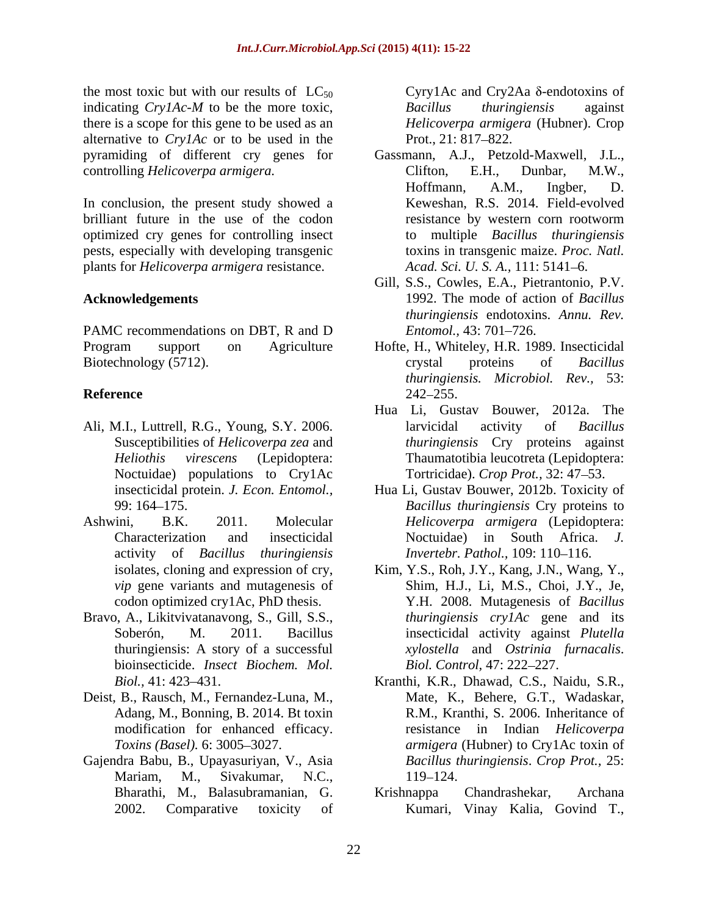the most toxic but with our results of  $LC_{50}$ indicating *Cry1Ac-M* to be the more toxic, Bacillus *thuringiensis* against there is a scope for this gene to be used as an alternative to *CrylAc* or to be used in the Prot., 21: 817–822. pyramiding of different cry genes for controlling *Helicoverpa armigera*. Clifton, E.H., Dunbar, M.W.,

In conclusion, the present study showed a brilliant future in the use of the codon optimized cry genes for controlling insect pests, especially with developing transgenic plants for *Helicoverpa armigera* resistance.

PAMC recommendations on DBT, R and D Entomol., 43: 701–726. Biotechnology (5712). Crystal proteins of *Bacillus* 

- Ali, M.I., Luttrell, R.G., Young, S.Y. 2006. larvicidal activity of *Bacillus* Noctuidae) populations to Cry1Ac
- activity of *Bacillus thuringiensis*
- Bravo, A., Likitvivatanavong, S., Gill, S.S., thuringiensis: A story of a successful bioinsecticide. *Insect Biochem. Mol.*
- Deist, B., Rausch, M., Fernandez-Luna, M., Adang, M., Bonning, B. 2014. Bt toxin
- Gajendra Babu, B., Upayasuriyan, V., Asia Mariam, M., Sivakumar, N.C.,

Cyry1Ac and Cry2Aa  $\delta$ -endotoxins of *Bacillus thuringiensis* against *Helicoverpa armigera* (Hubner). Crop Prot.,  $21: 817 - 822$ .

- Gassmann, A.J., Petzold-Maxwell, J.L., Clifton, E.H., Dunbar, M.W., Hoffmann, A.M., Ingber, D. Keweshan, R.S. 2014. Field-evolved resistance by western corn rootworm to multiple *Bacillus thuringiensis* toxins in transgenic maize. *Proc. Natl. Acad. Sci. U. S. A., 111: 5141-6.*
- **Acknowledgements** 1992. The mode of action of *Bacillus*  Gill, S.S., Cowles, E.A., Pietrantonio, P.V. *thuringiensis* endotoxins. *Annu. Rev. Entomol.,* 43: 701–726.
- Program support on Agriculture Hofte, H., Whiteley, H.R. 1989. Insecticidal **Reference** 242–255. crystal proteins of *Bacillus thuringiensis. Microbiol. Rev.,* 53: 242–255.
	- Susceptibilities of *Helicoverpa zea* and *thuringiensis* Cry proteins against *Heliothis virescens* (Lepidoptera: Thaumatotibia leucotreta (Lepidoptera: Hua Li, Gustav Bouwer, 2012a. The larvicidal activity of *Bacillus*  Tortricidae). *Crop Prot.,* 32: 47 53.
- insecticidal protein. *J. Econ. Entomol.,* Hua Li, Gustav Bouwer, 2012b. Toxicity of 99: 164 175. *Bacillus thuringiensis* Cry proteins to Ashwini, B.K. 2011. Molecular *Helicoverpa armigera* (Lepidoptera: Characterization and insecticidal Noctuidae) in South Africa. *J. Invertebr. Pathol.,* 109: 110-116.
	- isolates, cloning and expression of cry, Kim, Y.S., Roh, J.Y., Kang, J.N., Wang, Y., *vip* gene variants and mutagenesis of Shim, H.J., Li, M.S., Choi, J.Y., Je, codon optimized cry1Ac, PhD thesis. Y.H. 2008. Mutagenesis of *Bacillus*  Soberón, M. 2011. Bacillus insecticidal activity against *Plutella thuringiensis cry1Ac* gene and its *xylostella* and *Ostrinia furnacalis*. *Biol. Control, 47: 222-227.*
	- *Biol.,* 41: 423 431. Kranthi, K.R., Dhawad, C.S., Naidu, S.R., modification for enhanced efficacy. resistance in Indian *Helicoverpa Toxins (Basel).* 6: 3005–3027. *<i>armigera* (Hubner) to Cry1Ac toxin of Mate, K., Behere, G.T., Wadaskar, R.M., Kranthi, S. 2006. Inheritance of *Bacillus thuringiensis*. *Crop Prot.,* 25: 119–124.
	- Bharathi, M., Balasubramanian, G. 2002. Comparative toxicity of Kumari, Vinay Kalia, Govind T.,Krishnappa Chandrashekar, Archana